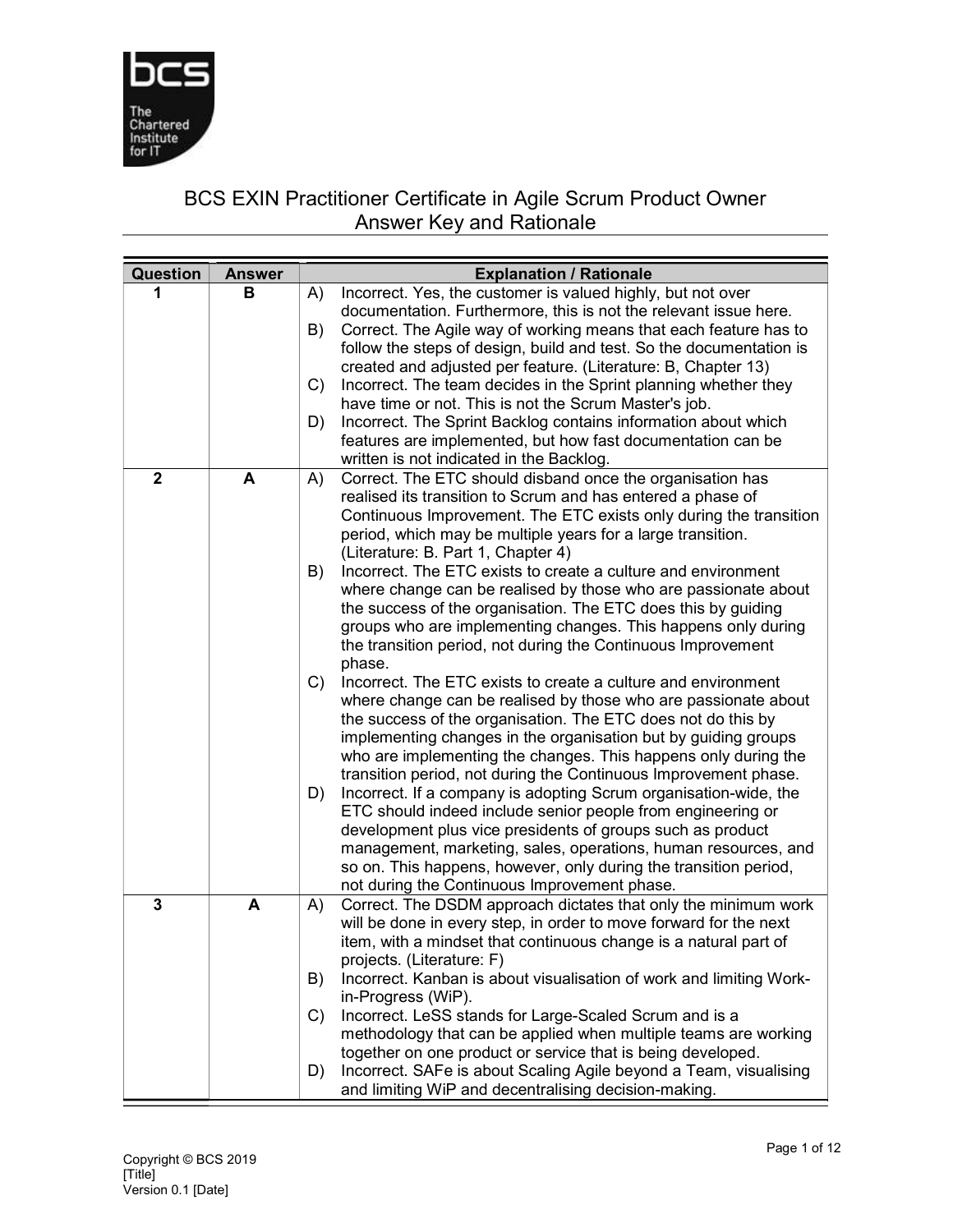

## BCS EXIN Practitioner Certificate in Agile Scrum Product Owner Answer Key and Rationale

|   | <b>Explanation / Rationale</b>                                                                                                        |
|---|---------------------------------------------------------------------------------------------------------------------------------------|
| в | Incorrect. Yes, the customer is valued highly, but not over<br>A)                                                                     |
|   | documentation. Furthermore, this is not the relevant issue here.                                                                      |
|   | Correct. The Agile way of working means that each feature has to<br>B)                                                                |
|   | follow the steps of design, build and test. So the documentation is<br>created and adjusted per feature. (Literature: B, Chapter 13)  |
|   | Incorrect. The team decides in the Sprint planning whether they<br>C)                                                                 |
|   | have time or not. This is not the Scrum Master's job.                                                                                 |
|   | Incorrect. The Sprint Backlog contains information about which<br>D)                                                                  |
|   | features are implemented, but how fast documentation can be                                                                           |
|   | written is not indicated in the Backlog.                                                                                              |
|   | Correct. The ETC should disband once the organisation has<br>A)                                                                       |
|   | realised its transition to Scrum and has entered a phase of<br>Continuous Improvement. The ETC exists only during the transition      |
|   | period, which may be multiple years for a large transition.                                                                           |
|   | (Literature: B. Part 1, Chapter 4)                                                                                                    |
|   | Incorrect. The ETC exists to create a culture and environment<br>B)                                                                   |
|   | where change can be realised by those who are passionate about                                                                        |
|   | the success of the organisation. The ETC does this by guiding                                                                         |
|   | groups who are implementing changes. This happens only during                                                                         |
|   | the transition period, not during the Continuous Improvement<br>phase.                                                                |
|   | Incorrect. The ETC exists to create a culture and environment<br>$\mathcal{C}$                                                        |
|   | where change can be realised by those who are passionate about                                                                        |
|   | the success of the organisation. The ETC does not do this by                                                                          |
|   | implementing changes in the organisation but by guiding groups                                                                        |
|   | who are implementing the changes. This happens only during the                                                                        |
|   | transition period, not during the Continuous Improvement phase.                                                                       |
|   | Incorrect. If a company is adopting Scrum organisation-wide, the<br>D)<br>ETC should indeed include senior people from engineering or |
|   | development plus vice presidents of groups such as product                                                                            |
|   | management, marketing, sales, operations, human resources, and                                                                        |
|   | so on. This happens, however, only during the transition period,                                                                      |
|   | not during the Continuous Improvement phase.                                                                                          |
|   | Correct. The DSDM approach dictates that only the minimum work<br>A)                                                                  |
|   | will be done in every step, in order to move forward for the next<br>item, with a mindset that continuous change is a natural part of |
|   | projects. (Literature: F)                                                                                                             |
|   | B)<br>Incorrect. Kanban is about visualisation of work and limiting Work-                                                             |
|   | in-Progress (WiP).                                                                                                                    |
|   | Incorrect. LeSS stands for Large-Scaled Scrum and is a<br>C)                                                                          |
|   | methodology that can be applied when multiple teams are working                                                                       |
|   | together on one product or service that is being developed.                                                                           |
|   | Incorrect. SAFe is about Scaling Agile beyond a Team, visualising<br>D)<br>and limiting WiP and decentralising decision-making.       |
|   | <b>Answer</b><br>A<br>A                                                                                                               |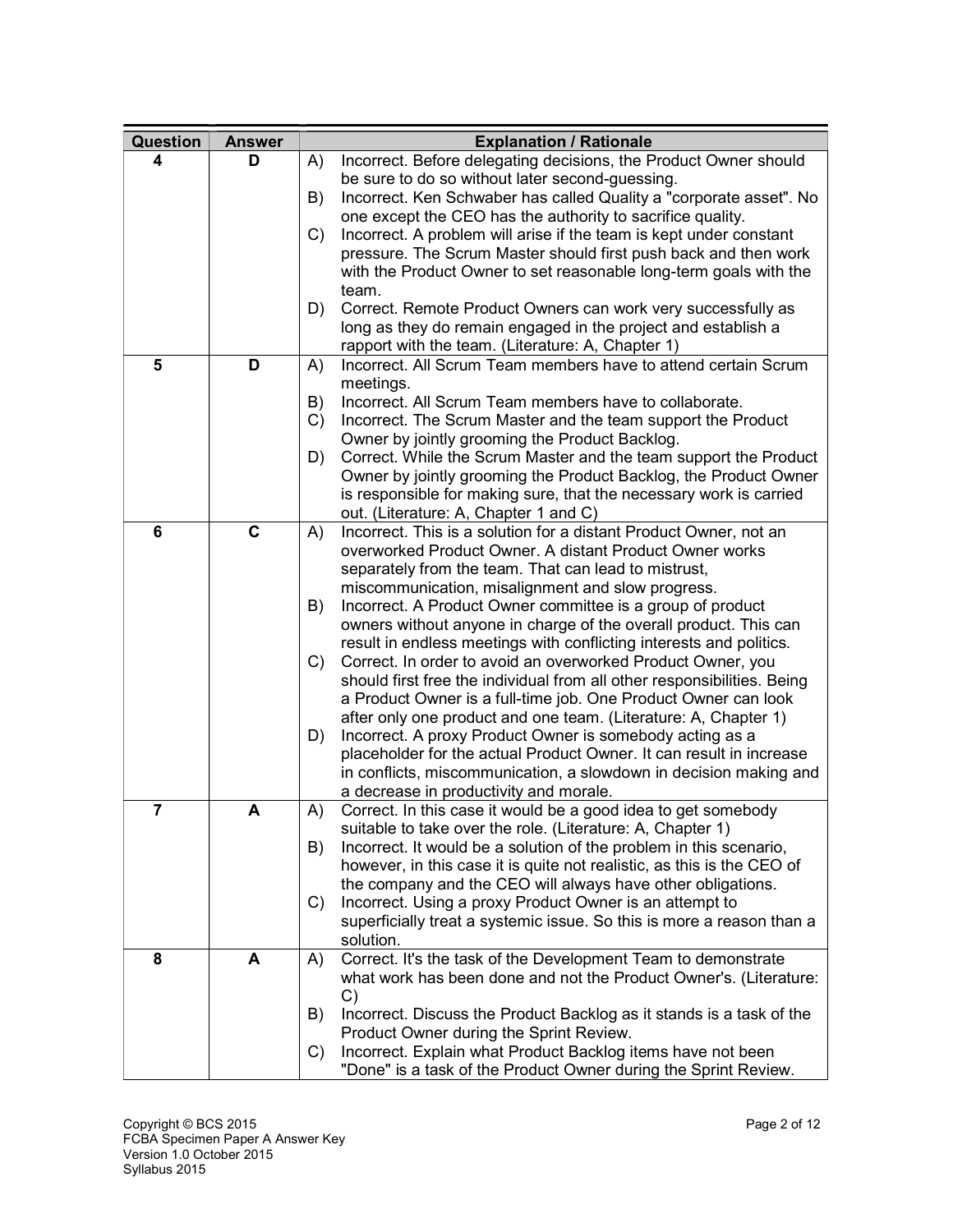| Question       | <b>Answer</b> | <b>Explanation / Rationale</b>                                                                                                             |
|----------------|---------------|--------------------------------------------------------------------------------------------------------------------------------------------|
| 4              | D             | Incorrect. Before delegating decisions, the Product Owner should<br>A)                                                                     |
|                |               | be sure to do so without later second-guessing.                                                                                            |
|                |               | Incorrect. Ken Schwaber has called Quality a "corporate asset". No<br>B)                                                                   |
|                |               | one except the CEO has the authority to sacrifice quality.                                                                                 |
|                |               | Incorrect. A problem will arise if the team is kept under constant<br>C)                                                                   |
|                |               | pressure. The Scrum Master should first push back and then work                                                                            |
|                |               | with the Product Owner to set reasonable long-term goals with the                                                                          |
|                |               | team.                                                                                                                                      |
|                |               | D)<br>Correct. Remote Product Owners can work very successfully as                                                                         |
|                |               | long as they do remain engaged in the project and establish a                                                                              |
|                |               | rapport with the team. (Literature: A, Chapter 1)                                                                                          |
| 5              | D             | Incorrect. All Scrum Team members have to attend certain Scrum<br>A)                                                                       |
|                |               | meetings.                                                                                                                                  |
|                |               | Incorrect. All Scrum Team members have to collaborate.<br>B)                                                                               |
|                |               | Incorrect. The Scrum Master and the team support the Product<br>C)                                                                         |
|                |               | Owner by jointly grooming the Product Backlog.                                                                                             |
|                |               | D)<br>Correct. While the Scrum Master and the team support the Product<br>Owner by jointly grooming the Product Backlog, the Product Owner |
|                |               | is responsible for making sure, that the necessary work is carried                                                                         |
|                |               | out. (Literature: A, Chapter 1 and C)                                                                                                      |
| 6              | C             | Incorrect. This is a solution for a distant Product Owner, not an<br>A)                                                                    |
|                |               | overworked Product Owner. A distant Product Owner works                                                                                    |
|                |               | separately from the team. That can lead to mistrust,                                                                                       |
|                |               | miscommunication, misalignment and slow progress.                                                                                          |
|                |               | Incorrect. A Product Owner committee is a group of product<br>B)                                                                           |
|                |               | owners without anyone in charge of the overall product. This can                                                                           |
|                |               | result in endless meetings with conflicting interests and politics.                                                                        |
|                |               | Correct. In order to avoid an overworked Product Owner, you<br>$\mathcal{C}$                                                               |
|                |               | should first free the individual from all other responsibilities. Being                                                                    |
|                |               | a Product Owner is a full-time job. One Product Owner can look                                                                             |
|                |               | after only one product and one team. (Literature: A, Chapter 1)                                                                            |
|                |               | Incorrect. A proxy Product Owner is somebody acting as a<br>D)                                                                             |
|                |               | placeholder for the actual Product Owner. It can result in increase                                                                        |
|                |               | in conflicts, miscommunication, a slowdown in decision making and                                                                          |
|                |               | a decrease in productivity and morale.                                                                                                     |
| $\overline{7}$ | A             | Correct. In this case it would be a good idea to get somebody<br>A)                                                                        |
|                |               | suitable to take over the role. (Literature: A, Chapter 1)                                                                                 |
|                |               | Incorrect. It would be a solution of the problem in this scenario,<br>B)                                                                   |
|                |               | however, in this case it is quite not realistic, as this is the CEO of                                                                     |
|                |               | the company and the CEO will always have other obligations.<br>Incorrect. Using a proxy Product Owner is an attempt to<br>C)               |
|                |               | superficially treat a systemic issue. So this is more a reason than a                                                                      |
|                |               | solution.                                                                                                                                  |
| 8              | A             | Correct. It's the task of the Development Team to demonstrate<br>A)                                                                        |
|                |               | what work has been done and not the Product Owner's. (Literature:                                                                          |
|                |               | $\mathcal{C}$                                                                                                                              |
|                |               | Incorrect. Discuss the Product Backlog as it stands is a task of the<br>B)                                                                 |
|                |               | Product Owner during the Sprint Review.                                                                                                    |
|                |               | Incorrect. Explain what Product Backlog items have not been<br>C)                                                                          |
|                |               | "Done" is a task of the Product Owner during the Sprint Review.                                                                            |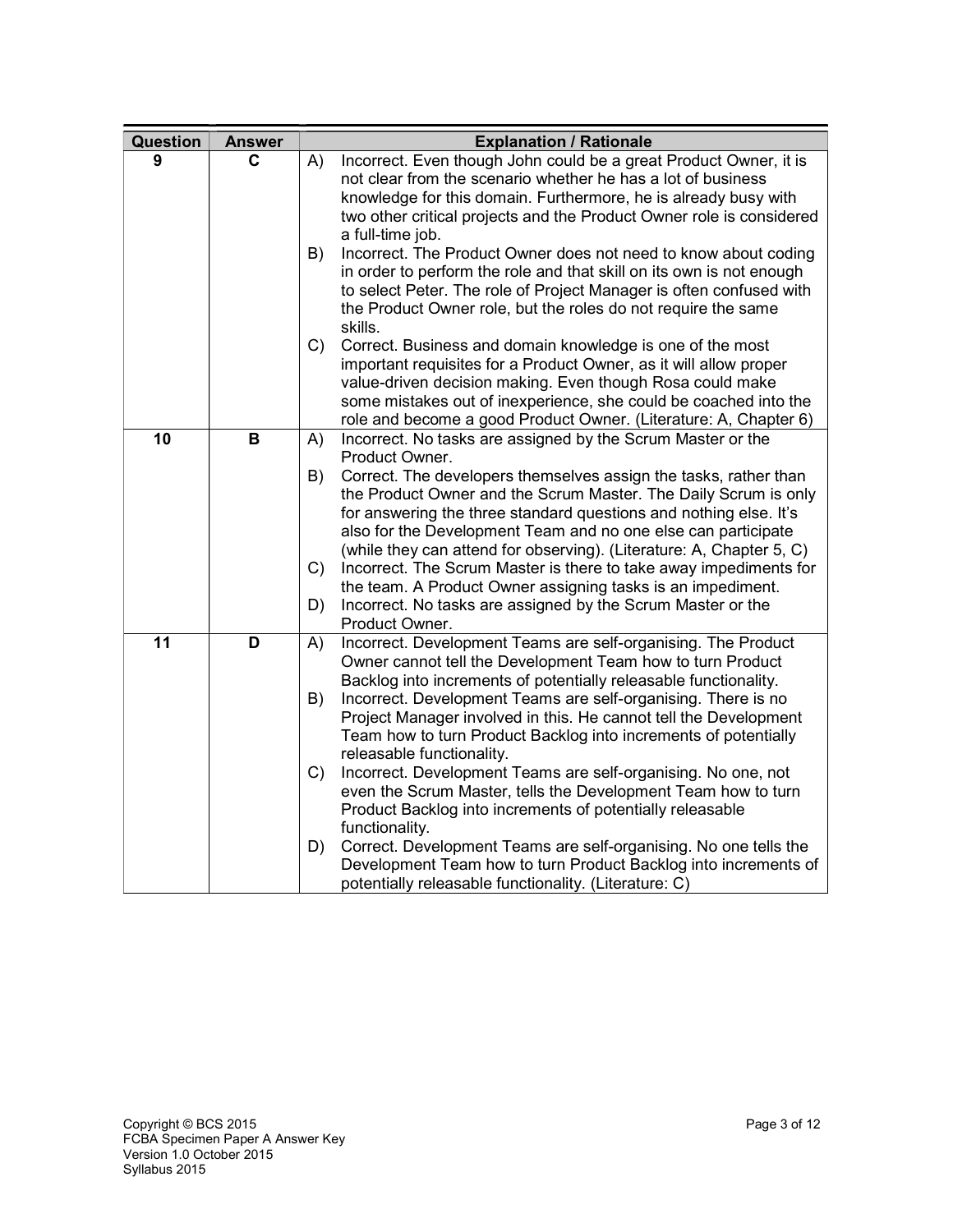| Question | <b>Answer</b> | <b>Explanation / Rationale</b>                                                                                                                                                                                                                                                                                                                                                                                                                                                                                                                                                           |
|----------|---------------|------------------------------------------------------------------------------------------------------------------------------------------------------------------------------------------------------------------------------------------------------------------------------------------------------------------------------------------------------------------------------------------------------------------------------------------------------------------------------------------------------------------------------------------------------------------------------------------|
| 9        | C             | Incorrect. Even though John could be a great Product Owner, it is<br>A)<br>not clear from the scenario whether he has a lot of business<br>knowledge for this domain. Furthermore, he is already busy with<br>two other critical projects and the Product Owner role is considered<br>a full-time job.                                                                                                                                                                                                                                                                                   |
|          |               | Incorrect. The Product Owner does not need to know about coding<br>B)<br>in order to perform the role and that skill on its own is not enough<br>to select Peter. The role of Project Manager is often confused with<br>the Product Owner role, but the roles do not require the same<br>skills.                                                                                                                                                                                                                                                                                         |
|          |               | C)<br>Correct. Business and domain knowledge is one of the most<br>important requisites for a Product Owner, as it will allow proper<br>value-driven decision making. Even though Rosa could make<br>some mistakes out of inexperience, she could be coached into the<br>role and become a good Product Owner. (Literature: A, Chapter 6)                                                                                                                                                                                                                                                |
| 10       | B             | Incorrect. No tasks are assigned by the Scrum Master or the<br>A)                                                                                                                                                                                                                                                                                                                                                                                                                                                                                                                        |
|          |               | Product Owner.<br>Correct. The developers themselves assign the tasks, rather than<br>B)<br>the Product Owner and the Scrum Master. The Daily Scrum is only<br>for answering the three standard questions and nothing else. It's<br>also for the Development Team and no one else can participate<br>(while they can attend for observing). (Literature: A, Chapter 5, C)<br>Incorrect. The Scrum Master is there to take away impediments for<br>C)<br>the team. A Product Owner assigning tasks is an impediment.<br>D)<br>Incorrect. No tasks are assigned by the Scrum Master or the |
| 11       | D             | Product Owner.<br>Incorrect. Development Teams are self-organising. The Product<br>A)<br>Owner cannot tell the Development Team how to turn Product<br>Backlog into increments of potentially releasable functionality.<br>B)<br>Incorrect. Development Teams are self-organising. There is no<br>Project Manager involved in this. He cannot tell the Development<br>Team how to turn Product Backlog into increments of potentially<br>releasable functionality.                                                                                                                       |
|          |               | Incorrect. Development Teams are self-organising. No one, not<br>$\mathcal{C}$<br>even the Scrum Master, tells the Development Team how to turn<br>Product Backlog into increments of potentially releasable<br>functionality.                                                                                                                                                                                                                                                                                                                                                           |
|          |               | Correct. Development Teams are self-organising. No one tells the<br>D)<br>Development Team how to turn Product Backlog into increments of<br>potentially releasable functionality. (Literature: C)                                                                                                                                                                                                                                                                                                                                                                                       |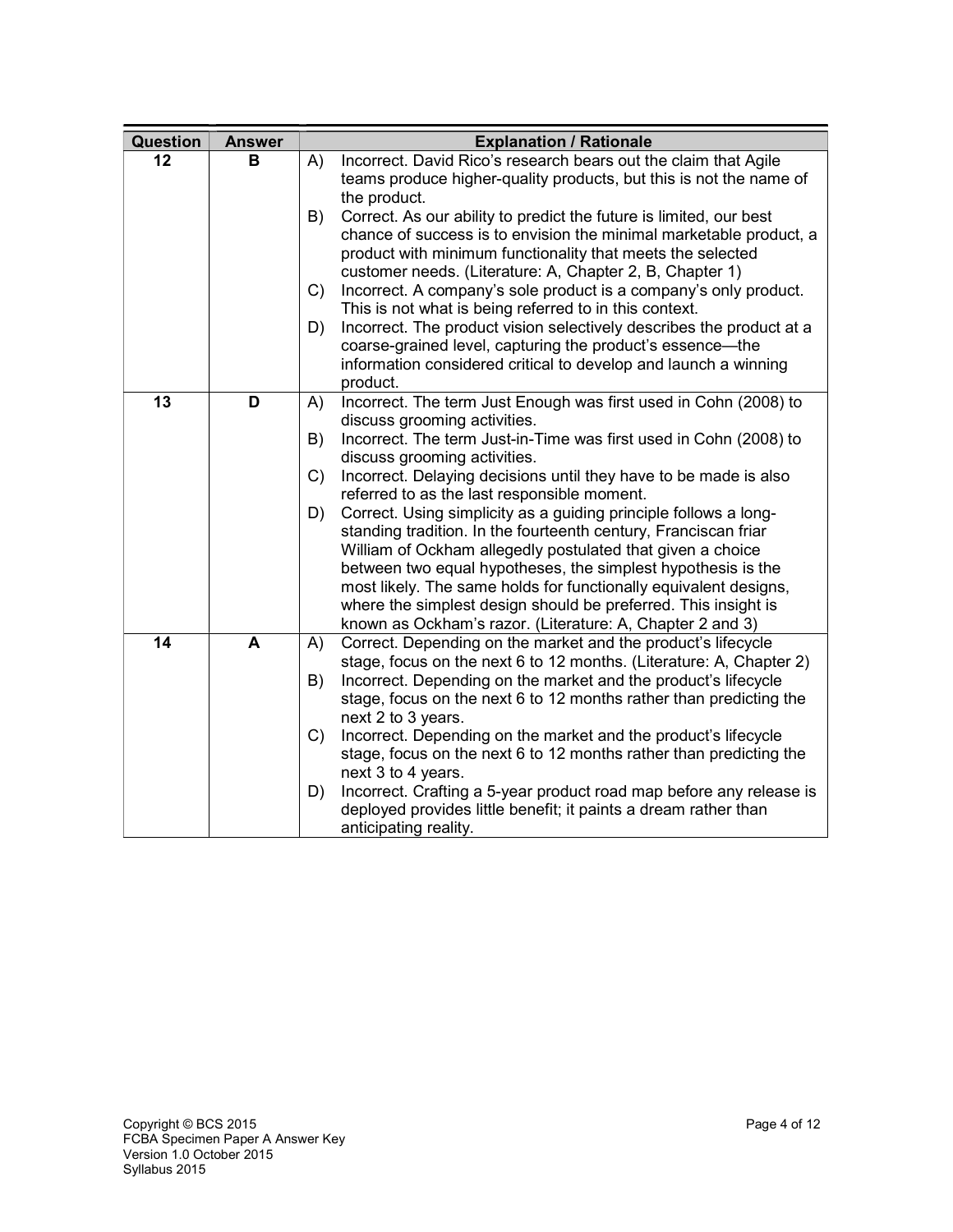| Question | <b>Answer</b> | <b>Explanation / Rationale</b>                                                                                                                                                                                                                                                                                                                                                                                                                                                                                                                                                                                                                                                                                                                                                                                           |
|----------|---------------|--------------------------------------------------------------------------------------------------------------------------------------------------------------------------------------------------------------------------------------------------------------------------------------------------------------------------------------------------------------------------------------------------------------------------------------------------------------------------------------------------------------------------------------------------------------------------------------------------------------------------------------------------------------------------------------------------------------------------------------------------------------------------------------------------------------------------|
| 12       | в             | Incorrect. David Rico's research bears out the claim that Agile<br>A)<br>teams produce higher-quality products, but this is not the name of<br>the product.<br>Correct. As our ability to predict the future is limited, our best<br>B)<br>chance of success is to envision the minimal marketable product, a<br>product with minimum functionality that meets the selected<br>customer needs. (Literature: A, Chapter 2, B, Chapter 1)<br>Incorrect. A company's sole product is a company's only product.<br>$\mathcal{C}$<br>This is not what is being referred to in this context.<br>Incorrect. The product vision selectively describes the product at a<br>D)<br>coarse-grained level, capturing the product's essence-the<br>information considered critical to develop and launch a winning<br>product.         |
| 13       | D             | Incorrect. The term Just Enough was first used in Cohn (2008) to<br>A)<br>discuss grooming activities.<br>Incorrect. The term Just-in-Time was first used in Cohn (2008) to<br>B)<br>discuss grooming activities.<br>Incorrect. Delaying decisions until they have to be made is also<br>C)<br>referred to as the last responsible moment.<br>Correct. Using simplicity as a guiding principle follows a long-<br>D)<br>standing tradition. In the fourteenth century, Franciscan friar<br>William of Ockham allegedly postulated that given a choice<br>between two equal hypotheses, the simplest hypothesis is the<br>most likely. The same holds for functionally equivalent designs,<br>where the simplest design should be preferred. This insight is<br>known as Ockham's razor. (Literature: A, Chapter 2 and 3) |
| 14       | A             | Correct. Depending on the market and the product's lifecycle<br>A)<br>stage, focus on the next 6 to 12 months. (Literature: A, Chapter 2)<br>Incorrect. Depending on the market and the product's lifecycle<br>B)<br>stage, focus on the next 6 to 12 months rather than predicting the<br>next 2 to 3 years.<br>Incorrect. Depending on the market and the product's lifecycle<br>C)<br>stage, focus on the next 6 to 12 months rather than predicting the<br>next 3 to 4 years.<br>Incorrect. Crafting a 5-year product road map before any release is<br>D)<br>deployed provides little benefit; it paints a dream rather than<br>anticipating reality.                                                                                                                                                               |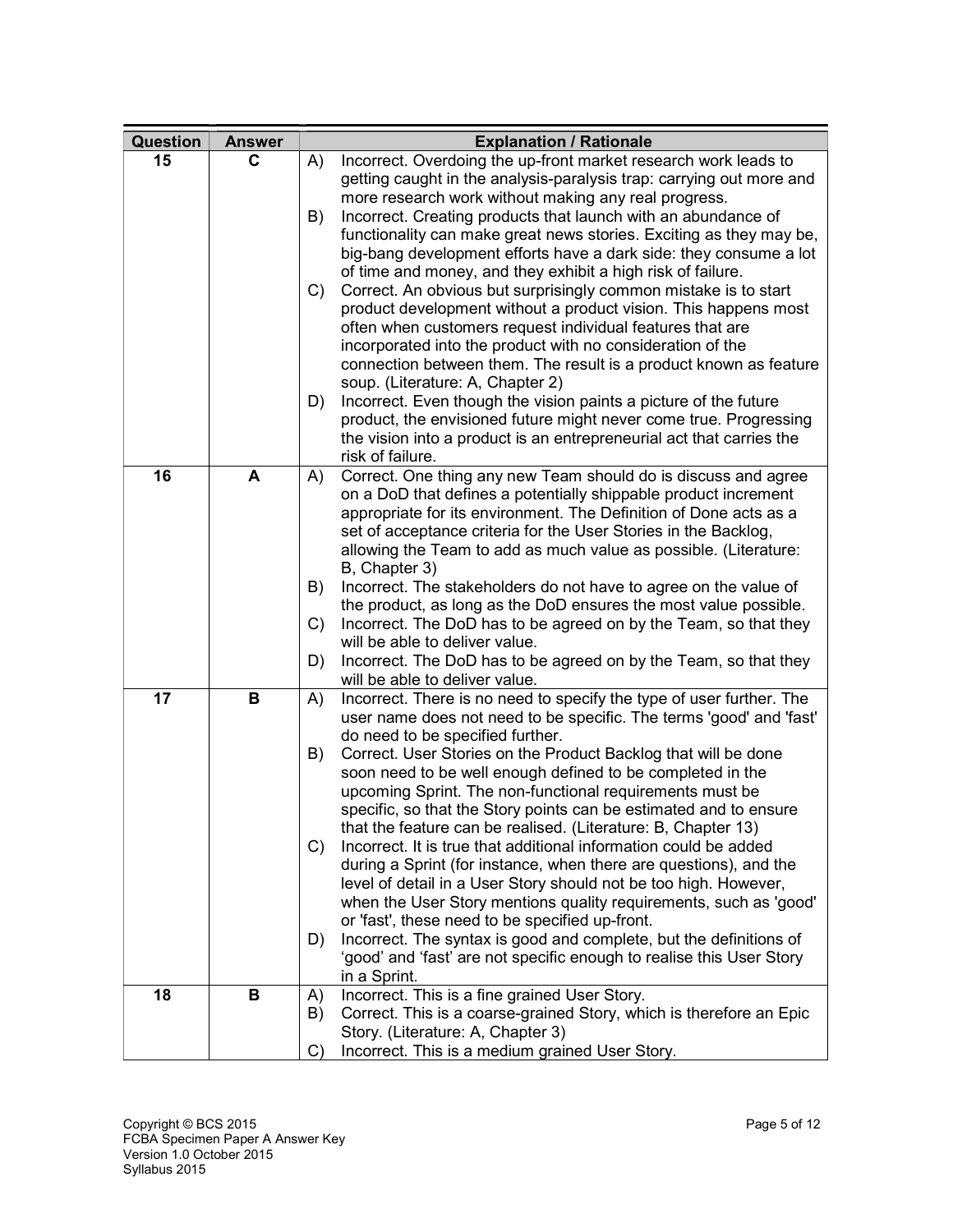| Question | <b>Answer</b> | <b>Explanation / Rationale</b>                                                                                                        |
|----------|---------------|---------------------------------------------------------------------------------------------------------------------------------------|
| 15       | C             | Incorrect. Overdoing the up-front market research work leads to<br>A)                                                                 |
|          |               | getting caught in the analysis-paralysis trap: carrying out more and                                                                  |
|          |               | more research work without making any real progress.                                                                                  |
|          |               | Incorrect. Creating products that launch with an abundance of<br>B)                                                                   |
|          |               | functionality can make great news stories. Exciting as they may be,                                                                   |
|          |               | big-bang development efforts have a dark side: they consume a lot                                                                     |
|          |               | of time and money, and they exhibit a high risk of failure.                                                                           |
|          |               | Correct. An obvious but surprisingly common mistake is to start<br>C)                                                                 |
|          |               | product development without a product vision. This happens most                                                                       |
|          |               | often when customers request individual features that are                                                                             |
|          |               | incorporated into the product with no consideration of the<br>connection between them. The result is a product known as feature       |
|          |               | soup. (Literature: A, Chapter 2)                                                                                                      |
|          |               | Incorrect. Even though the vision paints a picture of the future<br>D)                                                                |
|          |               | product, the envisioned future might never come true. Progressing                                                                     |
|          |               | the vision into a product is an entrepreneurial act that carries the                                                                  |
|          |               | risk of failure.                                                                                                                      |
| 16       | A             | Correct. One thing any new Team should do is discuss and agree<br>A)                                                                  |
|          |               | on a DoD that defines a potentially shippable product increment                                                                       |
|          |               | appropriate for its environment. The Definition of Done acts as a                                                                     |
|          |               | set of acceptance criteria for the User Stories in the Backlog,                                                                       |
|          |               | allowing the Team to add as much value as possible. (Literature:                                                                      |
|          |               | B, Chapter 3)                                                                                                                         |
|          |               | Incorrect. The stakeholders do not have to agree on the value of<br>B)                                                                |
|          |               | the product, as long as the DoD ensures the most value possible.                                                                      |
|          |               | Incorrect. The DoD has to be agreed on by the Team, so that they<br>C)<br>will be able to deliver value.                              |
|          |               | Incorrect. The DoD has to be agreed on by the Team, so that they<br>D)                                                                |
|          |               | will be able to deliver value.                                                                                                        |
| 17       | В             | Incorrect. There is no need to specify the type of user further. The<br>A)                                                            |
|          |               | user name does not need to be specific. The terms 'good' and 'fast'                                                                   |
|          |               | do need to be specified further.                                                                                                      |
|          |               | Correct. User Stories on the Product Backlog that will be done<br>B)                                                                  |
|          |               | soon need to be well enough defined to be completed in the                                                                            |
|          |               | upcoming Sprint. The non-functional requirements must be                                                                              |
|          |               | specific, so that the Story points can be estimated and to ensure                                                                     |
|          |               | that the feature can be realised. (Literature: B, Chapter 13)                                                                         |
|          |               | Incorrect. It is true that additional information could be added<br>C)                                                                |
|          |               | during a Sprint (for instance, when there are questions), and the<br>level of detail in a User Story should not be too high. However, |
|          |               | when the User Story mentions quality requirements, such as 'good'                                                                     |
|          |               | or 'fast', these need to be specified up-front.                                                                                       |
|          |               | Incorrect. The syntax is good and complete, but the definitions of<br>D)                                                              |
|          |               | 'good' and 'fast' are not specific enough to realise this User Story                                                                  |
|          |               | in a Sprint.                                                                                                                          |
| 18       | В             | Incorrect. This is a fine grained User Story.<br>A)                                                                                   |
|          |               | Correct. This is a coarse-grained Story, which is therefore an Epic<br>B)                                                             |
|          |               | Story. (Literature: A, Chapter 3)                                                                                                     |
|          |               | Incorrect. This is a medium grained User Story.<br>C)                                                                                 |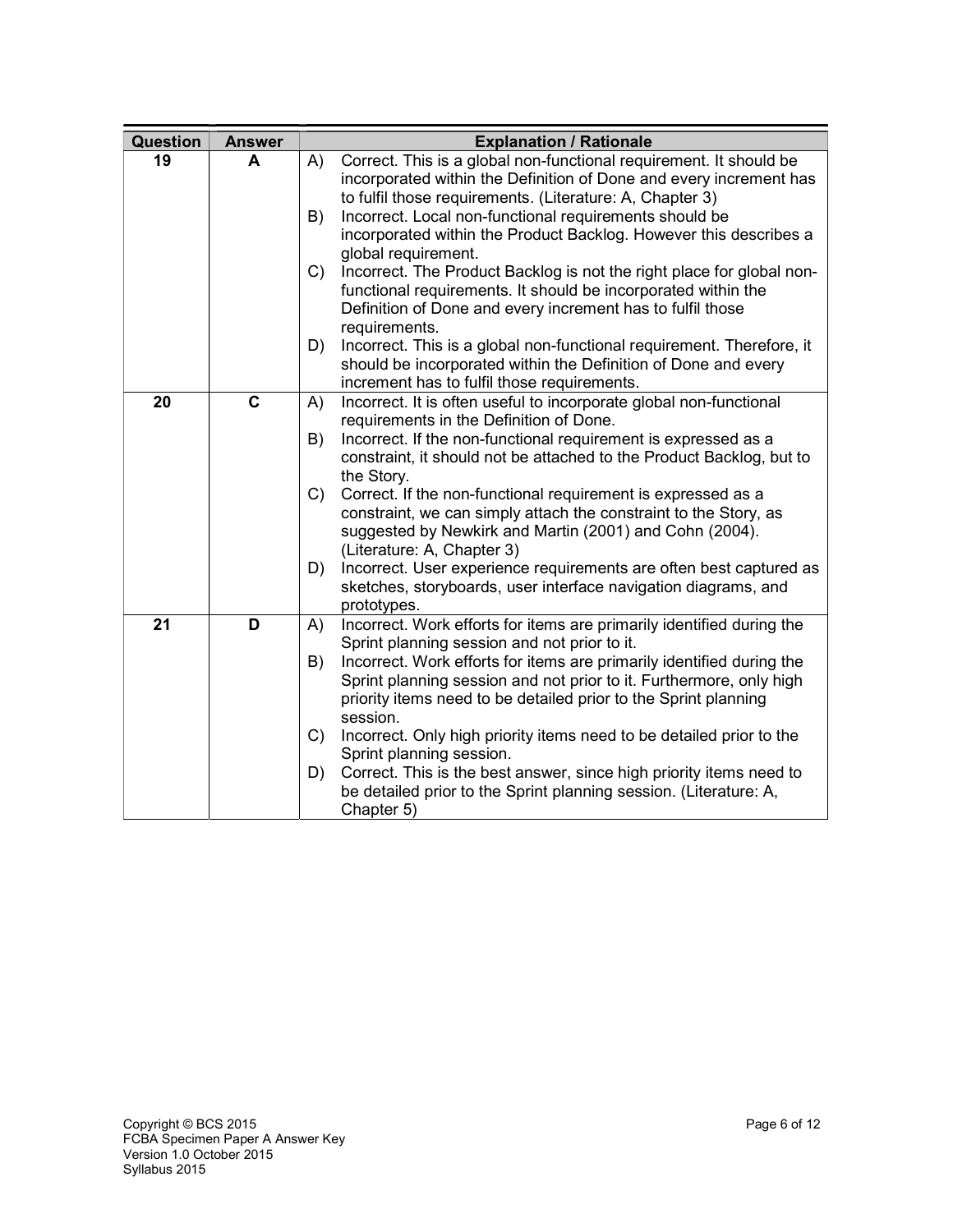| Question | <b>Answer</b> | <b>Explanation / Rationale</b>                                                                                                                                                                                                                                                                                                                                         |
|----------|---------------|------------------------------------------------------------------------------------------------------------------------------------------------------------------------------------------------------------------------------------------------------------------------------------------------------------------------------------------------------------------------|
| 19       | A             | Correct. This is a global non-functional requirement. It should be<br>A)<br>incorporated within the Definition of Done and every increment has<br>to fulfil those requirements. (Literature: A, Chapter 3)<br>Incorrect. Local non-functional requirements should be<br>B)<br>incorporated within the Product Backlog. However this describes a<br>global requirement. |
|          |               | Incorrect. The Product Backlog is not the right place for global non-<br>C)<br>functional requirements. It should be incorporated within the<br>Definition of Done and every increment has to fulfil those<br>requirements.                                                                                                                                            |
|          |               | Incorrect. This is a global non-functional requirement. Therefore, it<br>D)<br>should be incorporated within the Definition of Done and every<br>increment has to fulfil those requirements.                                                                                                                                                                           |
| 20       | $\mathbf c$   | Incorrect. It is often useful to incorporate global non-functional<br>A)<br>requirements in the Definition of Done.                                                                                                                                                                                                                                                    |
|          |               | Incorrect. If the non-functional requirement is expressed as a<br>B)<br>constraint, it should not be attached to the Product Backlog, but to<br>the Story.                                                                                                                                                                                                             |
|          |               | Correct. If the non-functional requirement is expressed as a<br>C)<br>constraint, we can simply attach the constraint to the Story, as<br>suggested by Newkirk and Martin (2001) and Cohn (2004).<br>(Literature: A, Chapter 3)                                                                                                                                        |
|          |               | Incorrect. User experience requirements are often best captured as<br>D)<br>sketches, storyboards, user interface navigation diagrams, and<br>prototypes.                                                                                                                                                                                                              |
| 21       | D             | Incorrect. Work efforts for items are primarily identified during the<br>A)<br>Sprint planning session and not prior to it.                                                                                                                                                                                                                                            |
|          |               | Incorrect. Work efforts for items are primarily identified during the<br>B)<br>Sprint planning session and not prior to it. Furthermore, only high<br>priority items need to be detailed prior to the Sprint planning<br>session.                                                                                                                                      |
|          |               | Incorrect. Only high priority items need to be detailed prior to the<br>C)<br>Sprint planning session.                                                                                                                                                                                                                                                                 |
|          |               | Correct. This is the best answer, since high priority items need to<br>D)<br>be detailed prior to the Sprint planning session. (Literature: A,<br>Chapter 5)                                                                                                                                                                                                           |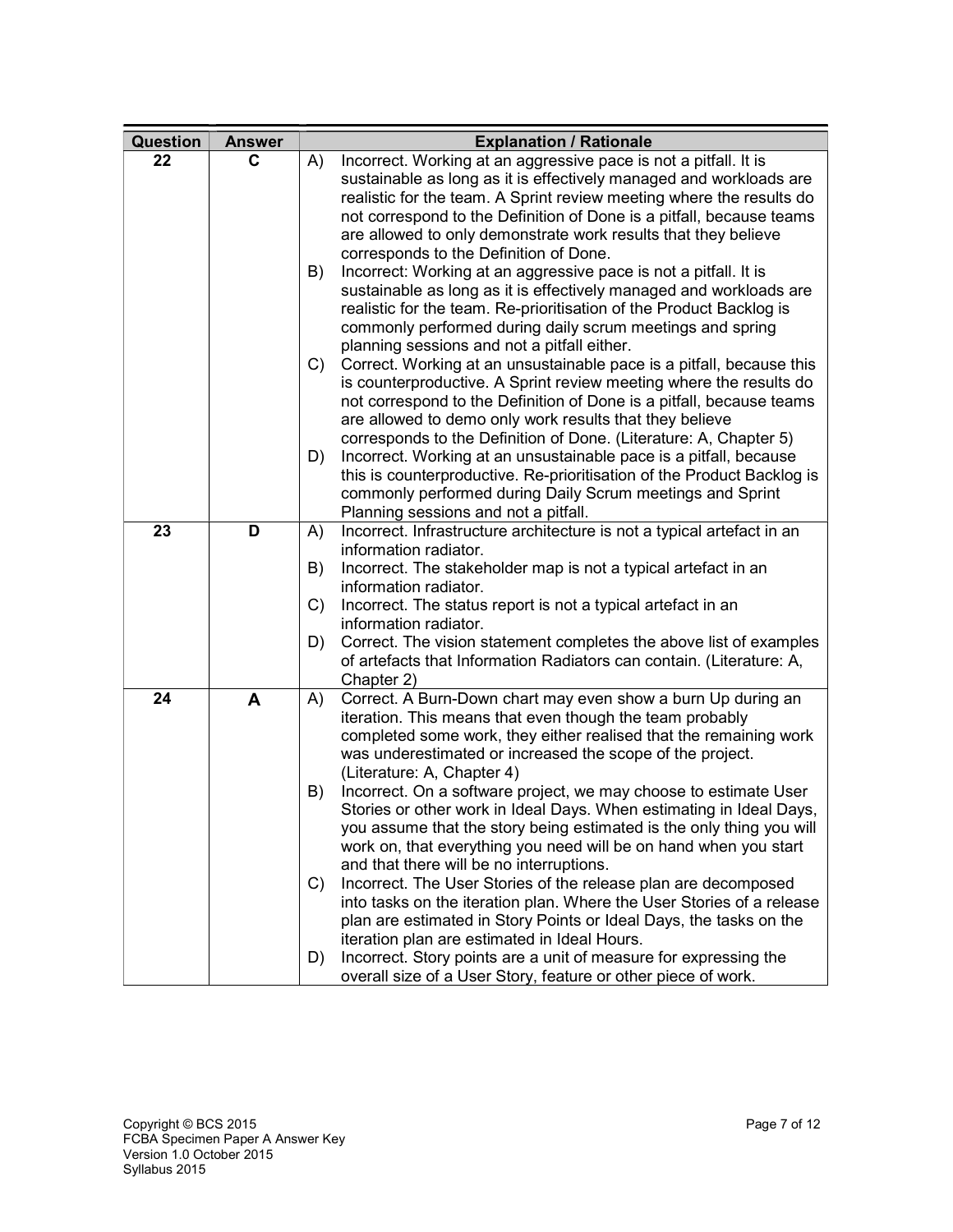| Question | <b>Answer</b> | <b>Explanation / Rationale</b>                                                                                      |
|----------|---------------|---------------------------------------------------------------------------------------------------------------------|
| 22       | C             | Incorrect. Working at an aggressive pace is not a pitfall. It is<br>A)                                              |
|          |               | sustainable as long as it is effectively managed and workloads are                                                  |
|          |               | realistic for the team. A Sprint review meeting where the results do                                                |
|          |               | not correspond to the Definition of Done is a pitfall, because teams                                                |
|          |               | are allowed to only demonstrate work results that they believe                                                      |
|          |               | corresponds to the Definition of Done.                                                                              |
|          |               | Incorrect: Working at an aggressive pace is not a pitfall. It is<br>B)                                              |
|          |               | sustainable as long as it is effectively managed and workloads are                                                  |
|          |               | realistic for the team. Re-prioritisation of the Product Backlog is                                                 |
|          |               | commonly performed during daily scrum meetings and spring                                                           |
|          |               | planning sessions and not a pitfall either.<br>Correct. Working at an unsustainable pace is a pitfall, because this |
|          |               | C)<br>is counterproductive. A Sprint review meeting where the results do                                            |
|          |               | not correspond to the Definition of Done is a pitfall, because teams                                                |
|          |               | are allowed to demo only work results that they believe                                                             |
|          |               | corresponds to the Definition of Done. (Literature: A, Chapter 5)                                                   |
|          |               | Incorrect. Working at an unsustainable pace is a pitfall, because<br>D)                                             |
|          |               | this is counterproductive. Re-prioritisation of the Product Backlog is                                              |
|          |               | commonly performed during Daily Scrum meetings and Sprint                                                           |
|          |               | Planning sessions and not a pitfall.                                                                                |
| 23       | D             | Incorrect. Infrastructure architecture is not a typical artefact in an<br>A)                                        |
|          |               | information radiator.                                                                                               |
|          |               | Incorrect. The stakeholder map is not a typical artefact in an<br>B)                                                |
|          |               | information radiator.                                                                                               |
|          |               | Incorrect. The status report is not a typical artefact in an<br>C)                                                  |
|          |               | information radiator.                                                                                               |
|          |               | Correct. The vision statement completes the above list of examples<br>D)                                            |
|          |               | of artefacts that Information Radiators can contain. (Literature: A,                                                |
| 24       | A             | Chapter 2)<br>Correct. A Burn-Down chart may even show a burn Up during an                                          |
|          |               | A)<br>iteration. This means that even though the team probably                                                      |
|          |               | completed some work, they either realised that the remaining work                                                   |
|          |               | was underestimated or increased the scope of the project.                                                           |
|          |               | (Literature: A, Chapter 4)                                                                                          |
|          |               | Incorrect. On a software project, we may choose to estimate User<br>B)                                              |
|          |               | Stories or other work in Ideal Days. When estimating in Ideal Days,                                                 |
|          |               | you assume that the story being estimated is the only thing you will                                                |
|          |               | work on, that everything you need will be on hand when you start                                                    |
|          |               | and that there will be no interruptions.                                                                            |
|          |               | Incorrect. The User Stories of the release plan are decomposed<br>C)                                                |
|          |               | into tasks on the iteration plan. Where the User Stories of a release                                               |
|          |               | plan are estimated in Story Points or Ideal Days, the tasks on the                                                  |
|          |               | iteration plan are estimated in Ideal Hours.                                                                        |
|          |               | Incorrect. Story points are a unit of measure for expressing the<br>D)                                              |
|          |               | overall size of a User Story, feature or other piece of work.                                                       |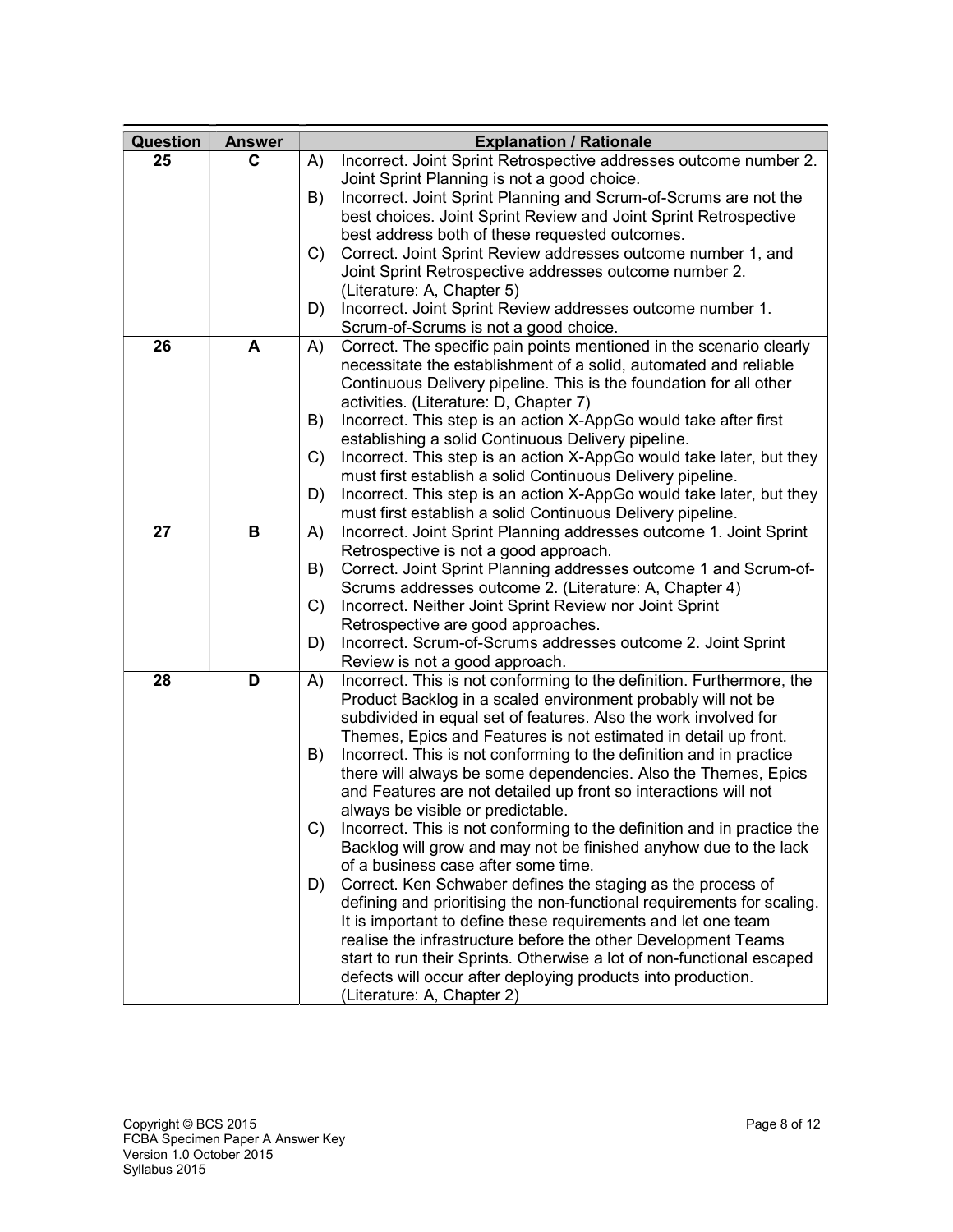| Question | <b>Answer</b> | <b>Explanation / Rationale</b>                                                                                                |
|----------|---------------|-------------------------------------------------------------------------------------------------------------------------------|
| 25       | С             | Incorrect. Joint Sprint Retrospective addresses outcome number 2.<br>A)                                                       |
|          |               | Joint Sprint Planning is not a good choice.                                                                                   |
|          |               | Incorrect. Joint Sprint Planning and Scrum-of-Scrums are not the<br>B)                                                        |
|          |               | best choices. Joint Sprint Review and Joint Sprint Retrospective                                                              |
|          |               | best address both of these requested outcomes.                                                                                |
|          |               | Correct. Joint Sprint Review addresses outcome number 1, and<br>C)                                                            |
|          |               | Joint Sprint Retrospective addresses outcome number 2.                                                                        |
|          |               | (Literature: A, Chapter 5)                                                                                                    |
|          |               | D)<br>Incorrect. Joint Sprint Review addresses outcome number 1.                                                              |
|          |               | Scrum-of-Scrums is not a good choice.                                                                                         |
| 26       | A             | Correct. The specific pain points mentioned in the scenario clearly<br>A)                                                     |
|          |               | necessitate the establishment of a solid, automated and reliable                                                              |
|          |               | Continuous Delivery pipeline. This is the foundation for all other                                                            |
|          |               | activities. (Literature: D, Chapter 7)                                                                                        |
|          |               | Incorrect. This step is an action X-AppGo would take after first<br>B)<br>establishing a solid Continuous Delivery pipeline.  |
|          |               | Incorrect. This step is an action X-AppGo would take later, but they<br>$\mathcal{C}$                                         |
|          |               | must first establish a solid Continuous Delivery pipeline.                                                                    |
|          |               | Incorrect. This step is an action X-AppGo would take later, but they<br>D)                                                    |
|          |               | must first establish a solid Continuous Delivery pipeline.                                                                    |
| 27       | В             | Incorrect. Joint Sprint Planning addresses outcome 1. Joint Sprint<br>A)                                                      |
|          |               | Retrospective is not a good approach.                                                                                         |
|          |               | Correct. Joint Sprint Planning addresses outcome 1 and Scrum-of-<br>B)                                                        |
|          |               | Scrums addresses outcome 2. (Literature: A, Chapter 4)                                                                        |
|          |               | Incorrect. Neither Joint Sprint Review nor Joint Sprint<br>C)                                                                 |
|          |               | Retrospective are good approaches.                                                                                            |
|          |               | Incorrect. Scrum-of-Scrums addresses outcome 2. Joint Sprint<br>D)                                                            |
|          |               | Review is not a good approach.                                                                                                |
| 28       | D             | Incorrect. This is not conforming to the definition. Furthermore, the<br>A)                                                   |
|          |               | Product Backlog in a scaled environment probably will not be                                                                  |
|          |               | subdivided in equal set of features. Also the work involved for                                                               |
|          |               | Themes, Epics and Features is not estimated in detail up front.                                                               |
|          |               | Incorrect. This is not conforming to the definition and in practice<br>B)                                                     |
|          |               | there will always be some dependencies. Also the Themes, Epics                                                                |
|          |               | and Features are not detailed up front so interactions will not                                                               |
|          |               | always be visible or predictable.<br>$\mathcal{C}$<br>Incorrect. This is not conforming to the definition and in practice the |
|          |               | Backlog will grow and may not be finished anyhow due to the lack                                                              |
|          |               | of a business case after some time.                                                                                           |
|          |               | Correct. Ken Schwaber defines the staging as the process of<br>D)                                                             |
|          |               | defining and prioritising the non-functional requirements for scaling.                                                        |
|          |               | It is important to define these requirements and let one team                                                                 |
|          |               | realise the infrastructure before the other Development Teams                                                                 |
|          |               | start to run their Sprints. Otherwise a lot of non-functional escaped                                                         |
|          |               | defects will occur after deploying products into production.                                                                  |
|          |               | (Literature: A, Chapter 2)                                                                                                    |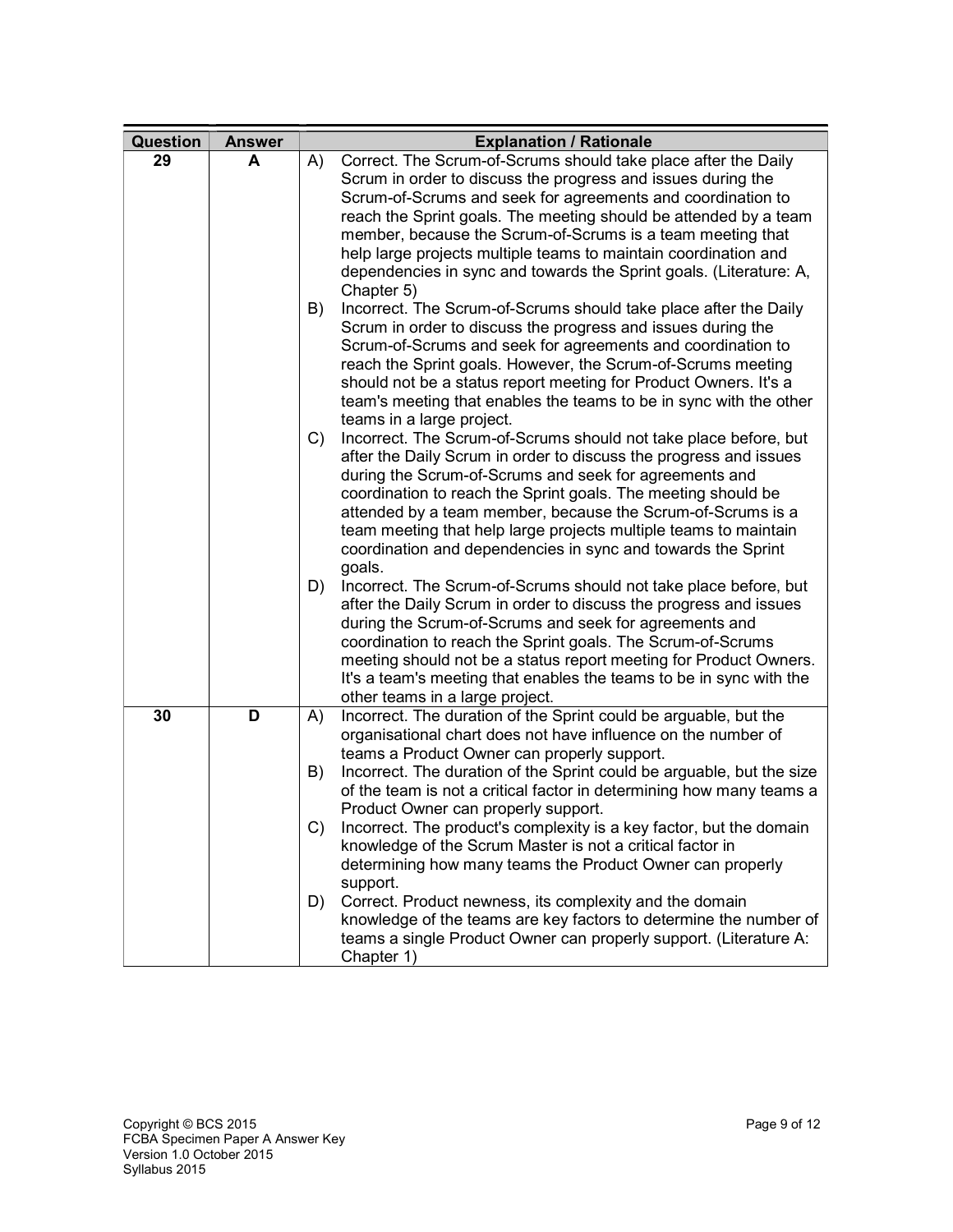| Question | <b>Answer</b> | <b>Explanation / Rationale</b>                                                                                             |
|----------|---------------|----------------------------------------------------------------------------------------------------------------------------|
| 29       | A             | Correct. The Scrum-of-Scrums should take place after the Daily<br>A)                                                       |
|          |               | Scrum in order to discuss the progress and issues during the                                                               |
|          |               | Scrum-of-Scrums and seek for agreements and coordination to                                                                |
|          |               | reach the Sprint goals. The meeting should be attended by a team                                                           |
|          |               | member, because the Scrum-of-Scrums is a team meeting that                                                                 |
|          |               | help large projects multiple teams to maintain coordination and                                                            |
|          |               | dependencies in sync and towards the Sprint goals. (Literature: A,<br>Chapter 5)                                           |
|          |               | B)<br>Incorrect. The Scrum-of-Scrums should take place after the Daily                                                     |
|          |               | Scrum in order to discuss the progress and issues during the                                                               |
|          |               | Scrum-of-Scrums and seek for agreements and coordination to                                                                |
|          |               | reach the Sprint goals. However, the Scrum-of-Scrums meeting                                                               |
|          |               | should not be a status report meeting for Product Owners. It's a                                                           |
|          |               | team's meeting that enables the teams to be in sync with the other                                                         |
|          |               | teams in a large project.<br>Incorrect. The Scrum-of-Scrums should not take place before, but<br>C)                        |
|          |               | after the Daily Scrum in order to discuss the progress and issues                                                          |
|          |               | during the Scrum-of-Scrums and seek for agreements and                                                                     |
|          |               | coordination to reach the Sprint goals. The meeting should be                                                              |
|          |               | attended by a team member, because the Scrum-of-Scrums is a                                                                |
|          |               | team meeting that help large projects multiple teams to maintain                                                           |
|          |               | coordination and dependencies in sync and towards the Sprint                                                               |
|          |               | goals.                                                                                                                     |
|          |               | D)<br>Incorrect. The Scrum-of-Scrums should not take place before, but                                                     |
|          |               | after the Daily Scrum in order to discuss the progress and issues                                                          |
|          |               | during the Scrum-of-Scrums and seek for agreements and                                                                     |
|          |               | coordination to reach the Sprint goals. The Scrum-of-Scrums                                                                |
|          |               | meeting should not be a status report meeting for Product Owners.                                                          |
|          |               | It's a team's meeting that enables the teams to be in sync with the                                                        |
|          |               | other teams in a large project.                                                                                            |
| 30       | D             | Incorrect. The duration of the Sprint could be arguable, but the<br>A)                                                     |
|          |               | organisational chart does not have influence on the number of                                                              |
|          |               | teams a Product Owner can properly support.<br>Incorrect. The duration of the Sprint could be arguable, but the size<br>B) |
|          |               | of the team is not a critical factor in determining how many teams a                                                       |
|          |               | Product Owner can properly support.                                                                                        |
|          |               | Incorrect. The product's complexity is a key factor, but the domain<br>C)                                                  |
|          |               | knowledge of the Scrum Master is not a critical factor in                                                                  |
|          |               | determining how many teams the Product Owner can properly                                                                  |
|          |               | support.                                                                                                                   |
|          |               | Correct. Product newness, its complexity and the domain<br>D)                                                              |
|          |               | knowledge of the teams are key factors to determine the number of                                                          |
|          |               | teams a single Product Owner can properly support. (Literature A:                                                          |
|          |               | Chapter 1)                                                                                                                 |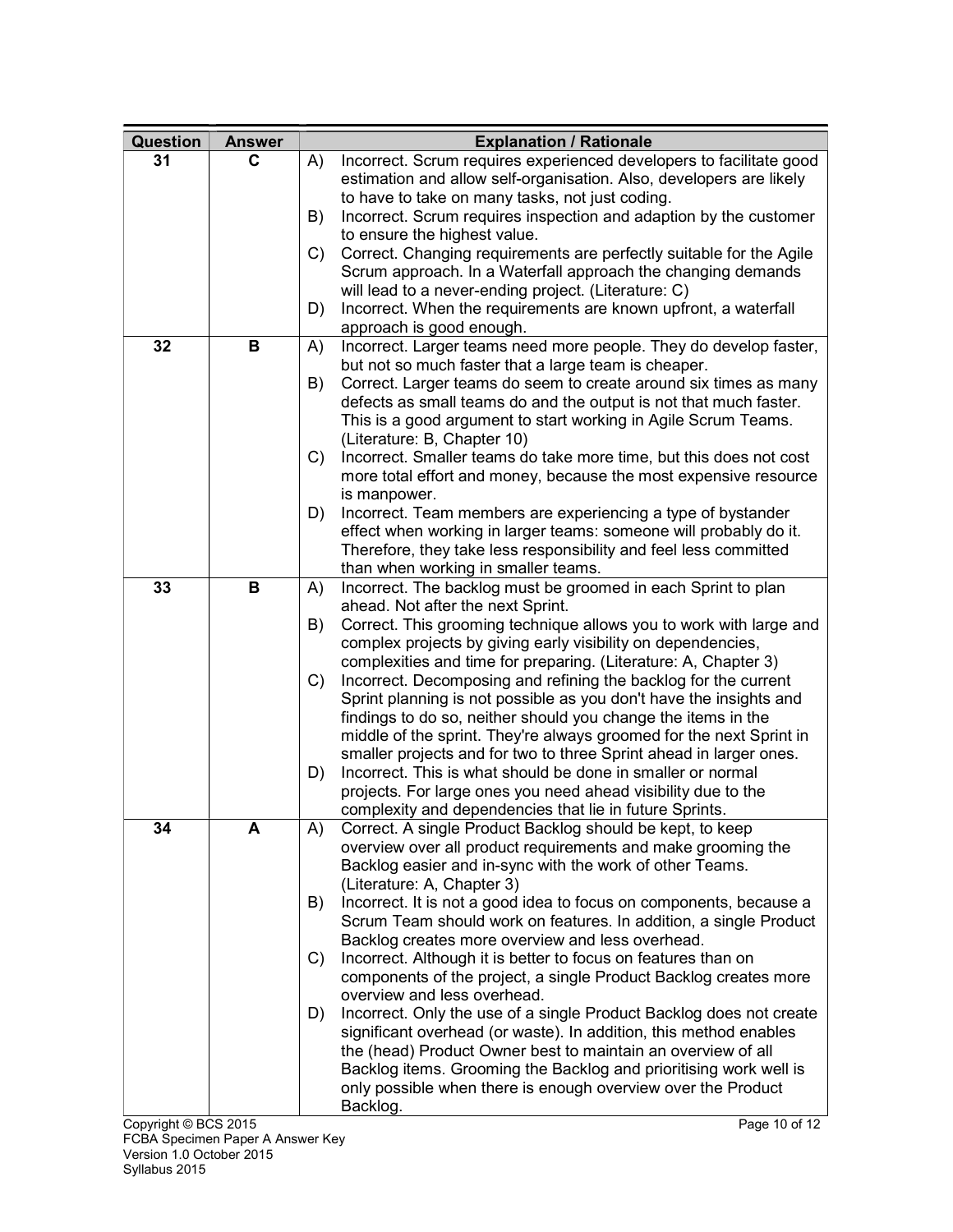| Question | <b>Answer</b> |    | <b>Explanation / Rationale</b>                                                                                                                                                                         |
|----------|---------------|----|--------------------------------------------------------------------------------------------------------------------------------------------------------------------------------------------------------|
| 31       | C             | A) | Incorrect. Scrum requires experienced developers to facilitate good                                                                                                                                    |
|          |               |    | estimation and allow self-organisation. Also, developers are likely<br>to have to take on many tasks, not just coding.                                                                                 |
|          |               | B) | Incorrect. Scrum requires inspection and adaption by the customer                                                                                                                                      |
|          |               | C) | to ensure the highest value.<br>Correct. Changing requirements are perfectly suitable for the Agile                                                                                                    |
|          |               |    | Scrum approach. In a Waterfall approach the changing demands                                                                                                                                           |
|          |               |    | will lead to a never-ending project. (Literature: C)                                                                                                                                                   |
|          |               | D) | Incorrect. When the requirements are known upfront, a waterfall<br>approach is good enough.                                                                                                            |
| 32       | В             | A) | Incorrect. Larger teams need more people. They do develop faster,<br>but not so much faster that a large team is cheaper.                                                                              |
|          |               | B) | Correct. Larger teams do seem to create around six times as many                                                                                                                                       |
|          |               |    | defects as small teams do and the output is not that much faster.                                                                                                                                      |
|          |               |    | This is a good argument to start working in Agile Scrum Teams.                                                                                                                                         |
|          |               | C) | (Literature: B, Chapter 10)<br>Incorrect. Smaller teams do take more time, but this does not cost                                                                                                      |
|          |               |    | more total effort and money, because the most expensive resource<br>is manpower.                                                                                                                       |
|          |               | D) | Incorrect. Team members are experiencing a type of bystander                                                                                                                                           |
|          |               |    | effect when working in larger teams: someone will probably do it.                                                                                                                                      |
|          |               |    | Therefore, they take less responsibility and feel less committed                                                                                                                                       |
| 33       | B             |    | than when working in smaller teams.                                                                                                                                                                    |
|          |               | A) | Incorrect. The backlog must be groomed in each Sprint to plan<br>ahead. Not after the next Sprint.                                                                                                     |
|          |               | B) | Correct. This grooming technique allows you to work with large and<br>complex projects by giving early visibility on dependencies,<br>complexities and time for preparing. (Literature: A, Chapter 3)  |
|          |               | C) | Incorrect. Decomposing and refining the backlog for the current<br>Sprint planning is not possible as you don't have the insights and<br>findings to do so, neither should you change the items in the |
|          |               |    | middle of the sprint. They're always groomed for the next Sprint in<br>smaller projects and for two to three Sprint ahead in larger ones.                                                              |
|          |               | D) | Incorrect. This is what should be done in smaller or normal                                                                                                                                            |
|          |               |    | projects. For large ones you need ahead visibility due to the                                                                                                                                          |
|          |               |    | complexity and dependencies that lie in future Sprints.                                                                                                                                                |
| 34       | А             | A) | Correct. A single Product Backlog should be kept, to keep                                                                                                                                              |
|          |               |    | overview over all product requirements and make grooming the<br>Backlog easier and in-sync with the work of other Teams.                                                                               |
|          |               |    | (Literature: A, Chapter 3)                                                                                                                                                                             |
|          |               | B) | Incorrect. It is not a good idea to focus on components, because a                                                                                                                                     |
|          |               |    | Scrum Team should work on features. In addition, a single Product                                                                                                                                      |
|          |               |    | Backlog creates more overview and less overhead.                                                                                                                                                       |
|          |               | C) | Incorrect. Although it is better to focus on features than on<br>components of the project, a single Product Backlog creates more                                                                      |
|          |               |    | overview and less overhead.                                                                                                                                                                            |
|          |               | D) | Incorrect. Only the use of a single Product Backlog does not create<br>significant overhead (or waste). In addition, this method enables                                                               |
|          |               |    | the (head) Product Owner best to maintain an overview of all                                                                                                                                           |
|          |               |    | Backlog items. Grooming the Backlog and prioritising work well is                                                                                                                                      |
|          |               |    | only possible when there is enough overview over the Product<br>Backlog.                                                                                                                               |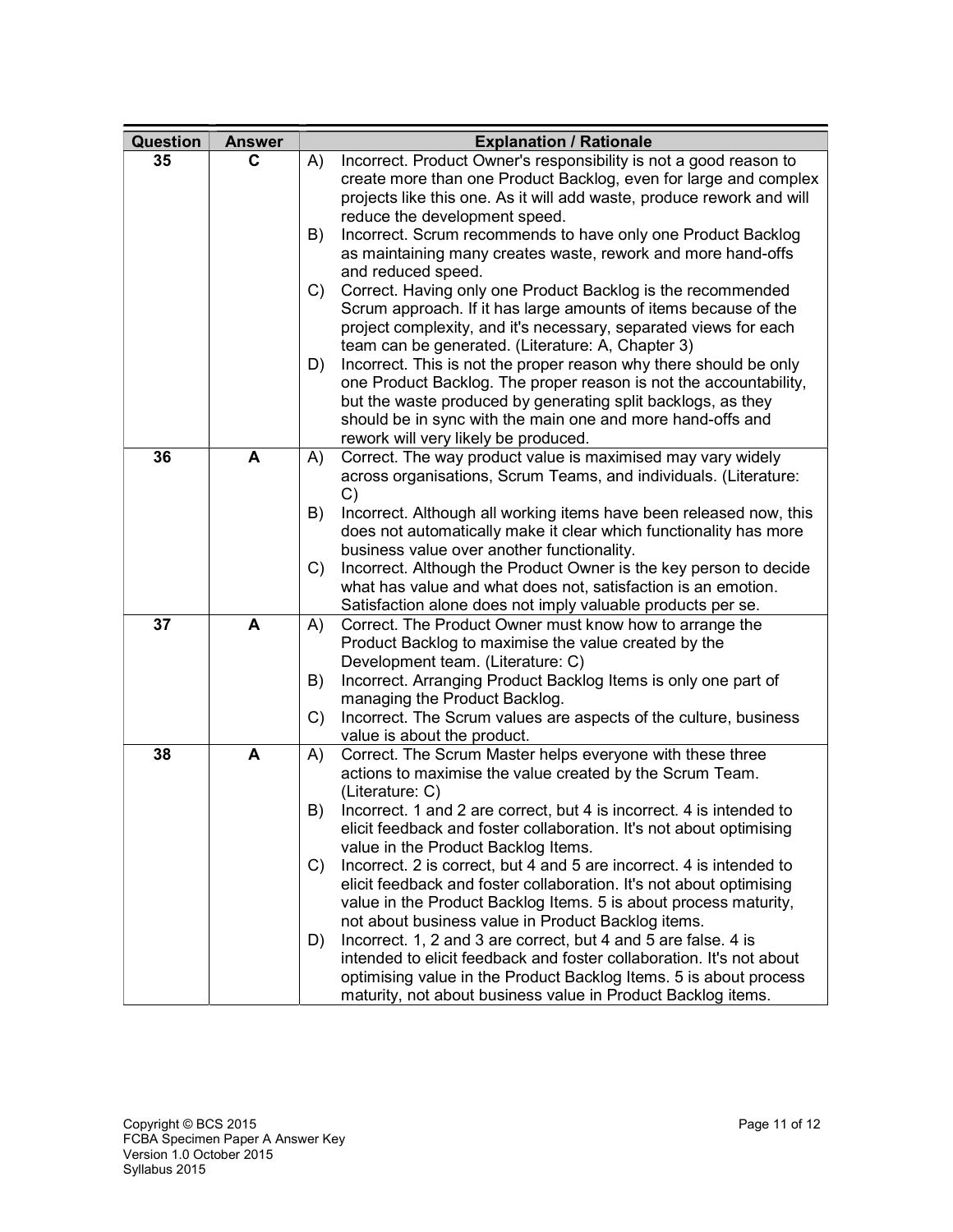| Question | <b>Answer</b> | <b>Explanation / Rationale</b>                                                                                                               |
|----------|---------------|----------------------------------------------------------------------------------------------------------------------------------------------|
| 35       | C             | Incorrect. Product Owner's responsibility is not a good reason to<br>A)                                                                      |
|          |               | create more than one Product Backlog, even for large and complex                                                                             |
|          |               | projects like this one. As it will add waste, produce rework and will<br>reduce the development speed.                                       |
|          |               | Incorrect. Scrum recommends to have only one Product Backlog<br>B)                                                                           |
|          |               | as maintaining many creates waste, rework and more hand-offs                                                                                 |
|          |               | and reduced speed.                                                                                                                           |
|          |               | Correct. Having only one Product Backlog is the recommended<br>C)                                                                            |
|          |               | Scrum approach. If it has large amounts of items because of the                                                                              |
|          |               | project complexity, and it's necessary, separated views for each                                                                             |
|          |               | team can be generated. (Literature: A, Chapter 3)                                                                                            |
|          |               | Incorrect. This is not the proper reason why there should be only<br>D)<br>one Product Backlog. The proper reason is not the accountability, |
|          |               | but the waste produced by generating split backlogs, as they                                                                                 |
|          |               | should be in sync with the main one and more hand-offs and                                                                                   |
|          |               | rework will very likely be produced.                                                                                                         |
| 36       | A             | Correct. The way product value is maximised may vary widely<br>A)                                                                            |
|          |               | across organisations, Scrum Teams, and individuals. (Literature:                                                                             |
|          |               | C)<br>B)<br>Incorrect. Although all working items have been released now, this                                                               |
|          |               | does not automatically make it clear which functionality has more                                                                            |
|          |               | business value over another functionality.                                                                                                   |
|          |               | Incorrect. Although the Product Owner is the key person to decide<br>C)                                                                      |
|          |               | what has value and what does not, satisfaction is an emotion.                                                                                |
|          |               | Satisfaction alone does not imply valuable products per se.                                                                                  |
| 37       | A             | Correct. The Product Owner must know how to arrange the<br>A)<br>Product Backlog to maximise the value created by the                        |
|          |               | Development team. (Literature: C)                                                                                                            |
|          |               | B)<br>Incorrect. Arranging Product Backlog Items is only one part of                                                                         |
|          |               | managing the Product Backlog.                                                                                                                |
|          |               | Incorrect. The Scrum values are aspects of the culture, business<br>C)                                                                       |
|          |               | value is about the product.                                                                                                                  |
| 38       | A             | Correct. The Scrum Master helps everyone with these three<br>A)<br>actions to maximise the value created by the Scrum Team.                  |
|          |               | (Literature: C)                                                                                                                              |
|          |               | Incorrect. 1 and 2 are correct, but 4 is incorrect. 4 is intended to<br>B)                                                                   |
|          |               | elicit feedback and foster collaboration. It's not about optimising                                                                          |
|          |               | value in the Product Backlog Items.                                                                                                          |
|          |               | Incorrect. 2 is correct, but 4 and 5 are incorrect. 4 is intended to<br>C)                                                                   |
|          |               | elicit feedback and foster collaboration. It's not about optimising                                                                          |
|          |               | value in the Product Backlog Items. 5 is about process maturity,<br>not about business value in Product Backlog items.                       |
|          |               | Incorrect. 1, 2 and 3 are correct, but 4 and 5 are false. 4 is<br>D)                                                                         |
|          |               | intended to elicit feedback and foster collaboration. It's not about                                                                         |
|          |               | optimising value in the Product Backlog Items. 5 is about process                                                                            |
|          |               | maturity, not about business value in Product Backlog items.                                                                                 |